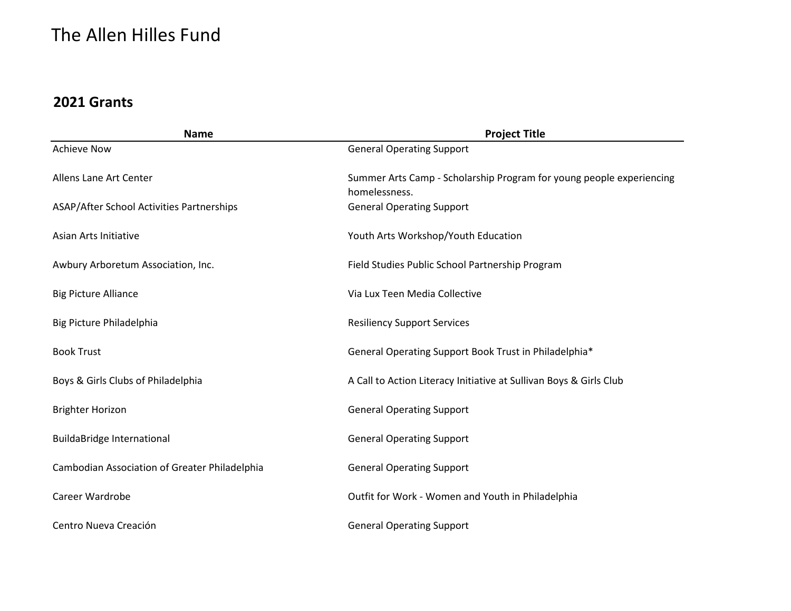| <b>Name</b>                                   | <b>Project Title</b>                                                                  |
|-----------------------------------------------|---------------------------------------------------------------------------------------|
| <b>Achieve Now</b>                            | <b>General Operating Support</b>                                                      |
| Allens Lane Art Center                        | Summer Arts Camp - Scholarship Program for young people experiencing<br>homelessness. |
| ASAP/After School Activities Partnerships     | <b>General Operating Support</b>                                                      |
| Asian Arts Initiative                         | Youth Arts Workshop/Youth Education                                                   |
| Awbury Arboretum Association, Inc.            | Field Studies Public School Partnership Program                                       |
| <b>Big Picture Alliance</b>                   | Via Lux Teen Media Collective                                                         |
| Big Picture Philadelphia                      | <b>Resiliency Support Services</b>                                                    |
| <b>Book Trust</b>                             | General Operating Support Book Trust in Philadelphia*                                 |
| Boys & Girls Clubs of Philadelphia            | A Call to Action Literacy Initiative at Sullivan Boys & Girls Club                    |
| <b>Brighter Horizon</b>                       | <b>General Operating Support</b>                                                      |
| <b>BuildaBridge International</b>             | <b>General Operating Support</b>                                                      |
| Cambodian Association of Greater Philadelphia | <b>General Operating Support</b>                                                      |
| Career Wardrobe                               | Outfit for Work - Women and Youth in Philadelphia                                     |
| Centro Nueva Creación                         | <b>General Operating Support</b>                                                      |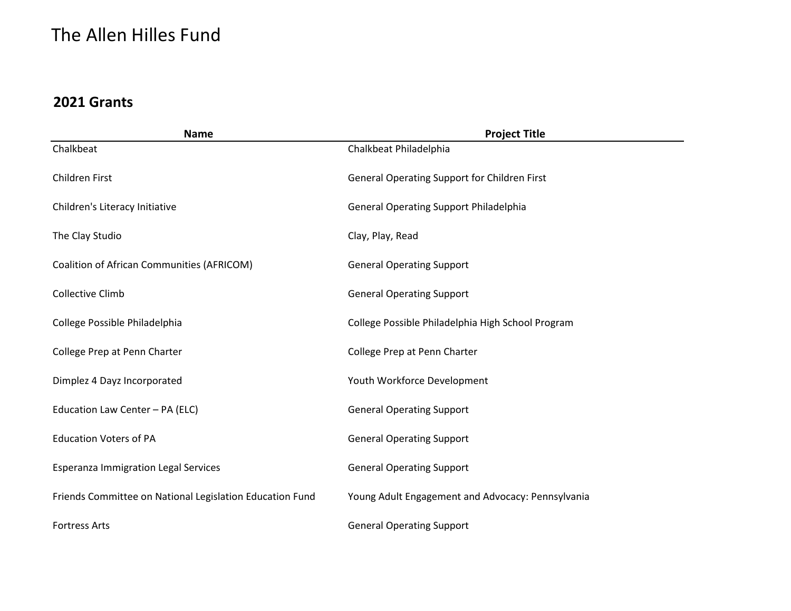| <b>Name</b>                                              | <b>Project Title</b>                                |
|----------------------------------------------------------|-----------------------------------------------------|
| Chalkbeat                                                | Chalkbeat Philadelphia                              |
| Children First                                           | <b>General Operating Support for Children First</b> |
| Children's Literacy Initiative                           | <b>General Operating Support Philadelphia</b>       |
| The Clay Studio                                          | Clay, Play, Read                                    |
| Coalition of African Communities (AFRICOM)               | <b>General Operating Support</b>                    |
| <b>Collective Climb</b>                                  | <b>General Operating Support</b>                    |
| College Possible Philadelphia                            | College Possible Philadelphia High School Program   |
| College Prep at Penn Charter                             | College Prep at Penn Charter                        |
| Dimplez 4 Dayz Incorporated                              | Youth Workforce Development                         |
| Education Law Center - PA (ELC)                          | <b>General Operating Support</b>                    |
| <b>Education Voters of PA</b>                            | <b>General Operating Support</b>                    |
| <b>Esperanza Immigration Legal Services</b>              | <b>General Operating Support</b>                    |
| Friends Committee on National Legislation Education Fund | Young Adult Engagement and Advocacy: Pennsylvania   |
| <b>Fortress Arts</b>                                     | <b>General Operating Support</b>                    |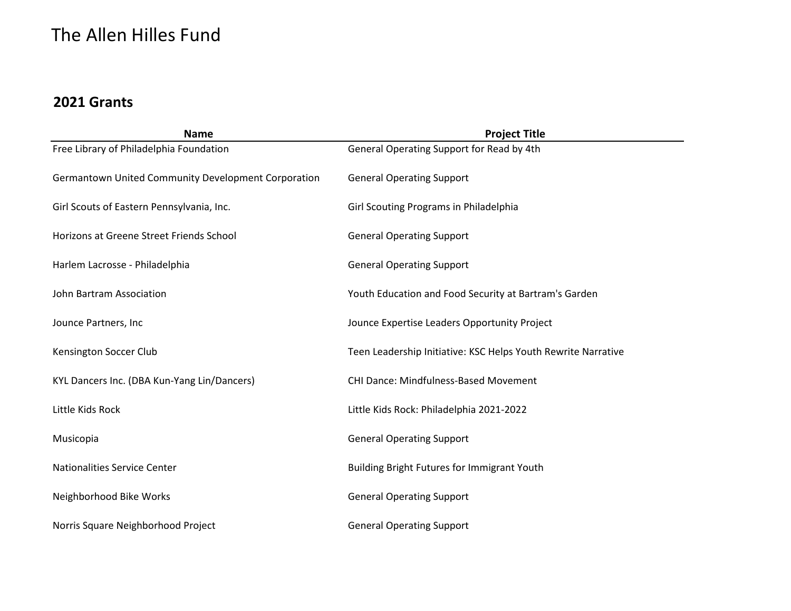| <b>Name</b>                                         | <b>Project Title</b>                                          |
|-----------------------------------------------------|---------------------------------------------------------------|
| Free Library of Philadelphia Foundation             | General Operating Support for Read by 4th                     |
| Germantown United Community Development Corporation | <b>General Operating Support</b>                              |
| Girl Scouts of Eastern Pennsylvania, Inc.           | Girl Scouting Programs in Philadelphia                        |
| Horizons at Greene Street Friends School            | <b>General Operating Support</b>                              |
| Harlem Lacrosse - Philadelphia                      | <b>General Operating Support</b>                              |
| John Bartram Association                            | Youth Education and Food Security at Bartram's Garden         |
| Jounce Partners, Inc                                | Jounce Expertise Leaders Opportunity Project                  |
| Kensington Soccer Club                              | Teen Leadership Initiative: KSC Helps Youth Rewrite Narrative |
| KYL Dancers Inc. (DBA Kun-Yang Lin/Dancers)         | <b>CHI Dance: Mindfulness-Based Movement</b>                  |
| Little Kids Rock                                    | Little Kids Rock: Philadelphia 2021-2022                      |
| Musicopia                                           | <b>General Operating Support</b>                              |
| Nationalities Service Center                        | <b>Building Bright Futures for Immigrant Youth</b>            |
| Neighborhood Bike Works                             | <b>General Operating Support</b>                              |
| Norris Square Neighborhood Project                  | <b>General Operating Support</b>                              |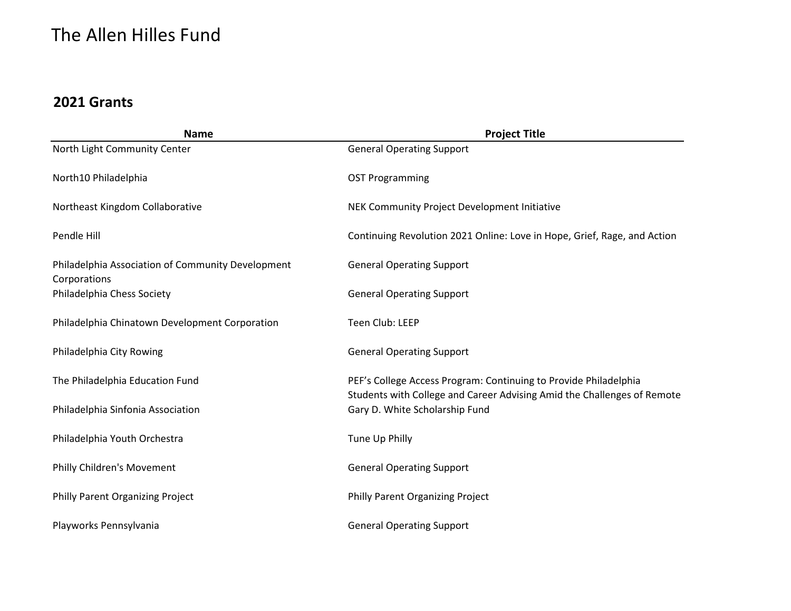| <b>Name</b>                                                       | <b>Project Title</b>                                                                                                                        |
|-------------------------------------------------------------------|---------------------------------------------------------------------------------------------------------------------------------------------|
| North Light Community Center                                      | <b>General Operating Support</b>                                                                                                            |
| North10 Philadelphia                                              | <b>OST Programming</b>                                                                                                                      |
| Northeast Kingdom Collaborative                                   | NEK Community Project Development Initiative                                                                                                |
| Pendle Hill                                                       | Continuing Revolution 2021 Online: Love in Hope, Grief, Rage, and Action                                                                    |
| Philadelphia Association of Community Development<br>Corporations | <b>General Operating Support</b>                                                                                                            |
| Philadelphia Chess Society                                        | <b>General Operating Support</b>                                                                                                            |
| Philadelphia Chinatown Development Corporation                    | Teen Club: LEEP                                                                                                                             |
| Philadelphia City Rowing                                          | <b>General Operating Support</b>                                                                                                            |
| The Philadelphia Education Fund                                   | PEF's College Access Program: Continuing to Provide Philadelphia<br>Students with College and Career Advising Amid the Challenges of Remote |
| Philadelphia Sinfonia Association                                 | Gary D. White Scholarship Fund                                                                                                              |
| Philadelphia Youth Orchestra                                      | Tune Up Philly                                                                                                                              |
| Philly Children's Movement                                        | <b>General Operating Support</b>                                                                                                            |
| Philly Parent Organizing Project                                  | Philly Parent Organizing Project                                                                                                            |
| Playworks Pennsylvania                                            | <b>General Operating Support</b>                                                                                                            |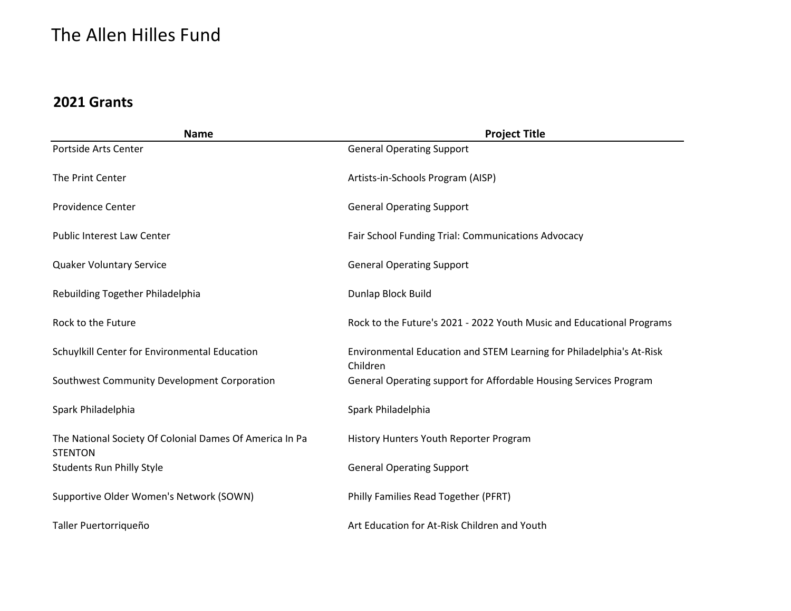| <b>Name</b>                                                               | <b>Project Title</b>                                                             |
|---------------------------------------------------------------------------|----------------------------------------------------------------------------------|
| Portside Arts Center                                                      | <b>General Operating Support</b>                                                 |
| The Print Center                                                          | Artists-in-Schools Program (AISP)                                                |
| <b>Providence Center</b>                                                  | <b>General Operating Support</b>                                                 |
| <b>Public Interest Law Center</b>                                         | Fair School Funding Trial: Communications Advocacy                               |
| <b>Quaker Voluntary Service</b>                                           | <b>General Operating Support</b>                                                 |
| Rebuilding Together Philadelphia                                          | Dunlap Block Build                                                               |
| Rock to the Future                                                        | Rock to the Future's 2021 - 2022 Youth Music and Educational Programs            |
| Schuylkill Center for Environmental Education                             | Environmental Education and STEM Learning for Philadelphia's At-Risk<br>Children |
| Southwest Community Development Corporation                               | General Operating support for Affordable Housing Services Program                |
| Spark Philadelphia                                                        | Spark Philadelphia                                                               |
| The National Society Of Colonial Dames Of America In Pa<br><b>STENTON</b> | History Hunters Youth Reporter Program                                           |
| <b>Students Run Philly Style</b>                                          | <b>General Operating Support</b>                                                 |
| Supportive Older Women's Network (SOWN)                                   | Philly Families Read Together (PFRT)                                             |
| Taller Puertorriqueño                                                     | Art Education for At-Risk Children and Youth                                     |